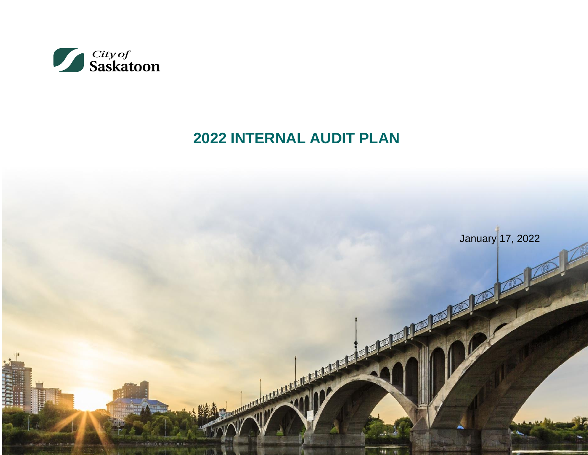

# **2022 INTERNAL AUDIT PLAN**

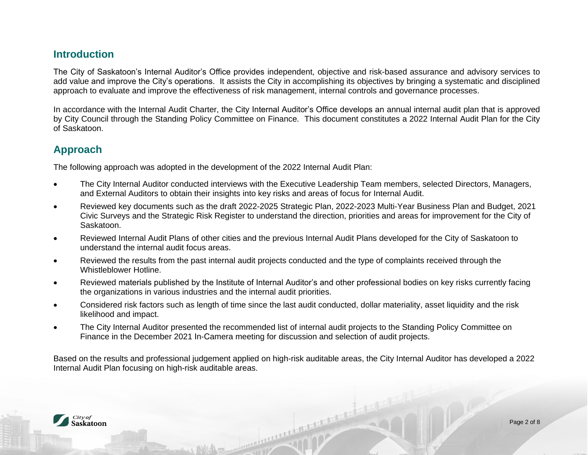#### **Introduction**

The City of Saskatoon's Internal Auditor's Office provides independent, objective and risk-based assurance and advisory services to add value and improve the City's operations. It assists the City in accomplishing its objectives by bringing a systematic and disciplined approach to evaluate and improve the effectiveness of risk management, internal controls and governance processes.

In accordance with the Internal Audit Charter, the City Internal Auditor's Office develops an annual internal audit plan that is approved by City Council through the Standing Policy Committee on Finance. This document constitutes a 2022 Internal Audit Plan for the City of Saskatoon.

### **Approach**

The following approach was adopted in the development of the 2022 Internal Audit Plan:

- The City Internal Auditor conducted interviews with the Executive Leadership Team members, selected Directors, Managers, and External Auditors to obtain their insights into key risks and areas of focus for Internal Audit.
- Reviewed key documents such as the draft 2022-2025 Strategic Plan, 2022-2023 Multi-Year Business Plan and Budget, 2021 Civic Surveys and the Strategic Risk Register to understand the direction, priorities and areas for improvement for the City of Saskatoon.
- Reviewed Internal Audit Plans of other cities and the previous Internal Audit Plans developed for the City of Saskatoon to understand the internal audit focus areas.
- Reviewed the results from the past internal audit projects conducted and the type of complaints received through the Whistleblower Hotline.
- Reviewed materials published by the Institute of Internal Auditor's and other professional bodies on key risks currently facing the organizations in various industries and the internal audit priorities.
- Considered risk factors such as length of time since the last audit conducted, dollar materiality, asset liquidity and the risk likelihood and impact.
- The City Internal Auditor presented the recommended list of internal audit projects to the Standing Policy Committee on Finance in the December 2021 In-Camera meeting for discussion and selection of audit projects.

Based on the results and professional judgement applied on high-risk auditable areas, the City Internal Auditor has developed a 2022 Internal Audit Plan focusing on high-risk auditable areas.

A Communication of the Communication

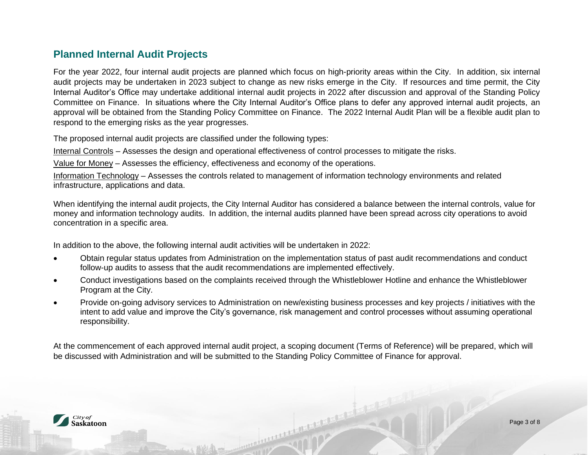## **Planned Internal Audit Projects**

For the year 2022, four internal audit projects are planned which focus on high-priority areas within the City. In addition, six internal audit projects may be undertaken in 2023 subject to change as new risks emerge in the City. If resources and time permit, the City Internal Auditor's Office may undertake additional internal audit projects in 2022 after discussion and approval of the Standing Policy Committee on Finance. In situations where the City Internal Auditor's Office plans to defer any approved internal audit projects, an approval will be obtained from the Standing Policy Committee on Finance. The 2022 Internal Audit Plan will be a flexible audit plan to respond to the emerging risks as the year progresses.

The proposed internal audit projects are classified under the following types:

Internal Controls – Assesses the design and operational effectiveness of control processes to mitigate the risks.

Value for Money – Assesses the efficiency, effectiveness and economy of the operations.

Information Technology – Assesses the controls related to management of information technology environments and related infrastructure, applications and data.

When identifying the internal audit projects, the City Internal Auditor has considered a balance between the internal controls, value for money and information technology audits. In addition, the internal audits planned have been spread across city operations to avoid concentration in a specific area.

In addition to the above, the following internal audit activities will be undertaken in 2022:

- Obtain regular status updates from Administration on the implementation status of past audit recommendations and conduct follow-up audits to assess that the audit recommendations are implemented effectively.
- Conduct investigations based on the complaints received through the Whistleblower Hotline and enhance the Whistleblower Program at the City.
- Provide on-going advisory services to Administration on new/existing business processes and key projects / initiatives with the intent to add value and improve the City's governance, risk management and control processes without assuming operational responsibility.

At the commencement of each approved internal audit project, a scoping document (Terms of Reference) will be prepared, which will be discussed with Administration and will be submitted to the Standing Policy Committee of Finance for approval.

A construction of the construction of

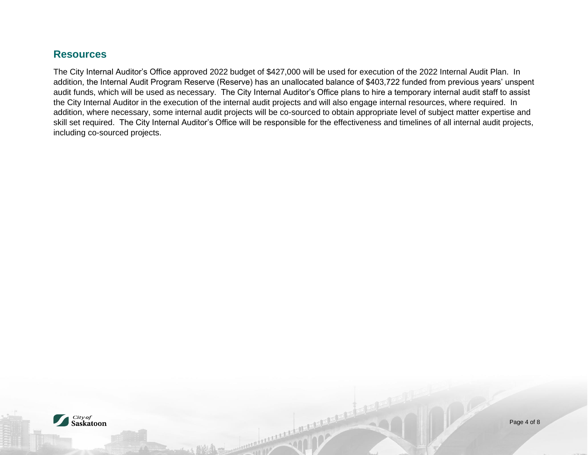### **Resources**

The City Internal Auditor's Office approved 2022 budget of \$427,000 will be used for execution of the 2022 Internal Audit Plan. In addition, the Internal Audit Program Reserve (Reserve) has an unallocated balance of \$403,722 funded from previous years' unspent audit funds, which will be used as necessary. The City Internal Auditor's Office plans to hire a temporary internal audit staff to assist the City Internal Auditor in the execution of the internal audit projects and will also engage internal resources, where required. In addition, where necessary, some internal audit projects will be co-sourced to obtain appropriate level of subject matter expertise and skill set required. The City Internal Auditor's Office will be responsible for the effectiveness and timelines of all internal audit projects, including co-sourced projects.

DE LA CONTRACTE DE LA CONTRACTE DE LA CONTRACTE DE LA CONTRACTE DE LA CONTRACTE DE LA CONTRACTE DE LA CONTRACTE

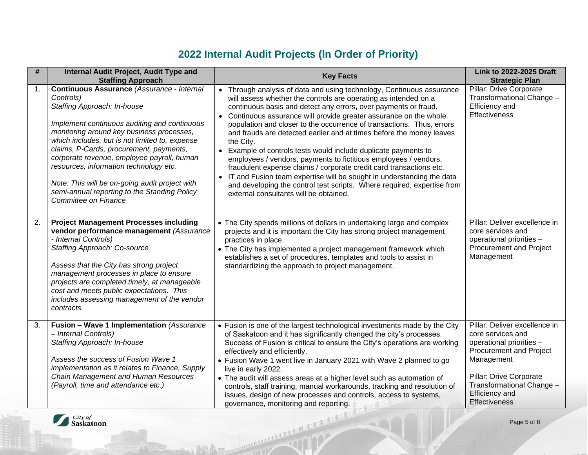# **2022 Internal Audit Projects (In Order of Priority)**

| #  | Internal Audit Project, Audit Type and<br><b>Staffing Approach</b>                                                                                                                                                                                                                                                                                                                                                                                                                                 | <b>Key Facts</b>                                                                                                                                                                                                                                                                                                                                                                                                                                                                                                                                                                                                                                                                                                                                                                                                                                              | <b>Link to 2022-2025 Draft</b><br><b>Strategic Plan</b>                                                                                                                                                                                 |
|----|----------------------------------------------------------------------------------------------------------------------------------------------------------------------------------------------------------------------------------------------------------------------------------------------------------------------------------------------------------------------------------------------------------------------------------------------------------------------------------------------------|---------------------------------------------------------------------------------------------------------------------------------------------------------------------------------------------------------------------------------------------------------------------------------------------------------------------------------------------------------------------------------------------------------------------------------------------------------------------------------------------------------------------------------------------------------------------------------------------------------------------------------------------------------------------------------------------------------------------------------------------------------------------------------------------------------------------------------------------------------------|-----------------------------------------------------------------------------------------------------------------------------------------------------------------------------------------------------------------------------------------|
| 1. | Continuous Assurance (Assurance - Internal<br>Controls)<br>Staffing Approach: In-house<br>Implement continuous auditing and continuous<br>monitoring around key business processes,<br>which includes, but is not limited to, expense<br>claims, P-Cards, procurement, payments,<br>corporate revenue, employee payroll, human<br>resources, information technology etc.<br>Note: This will be on-going audit project with<br>semi-annual reporting to the Standing Policy<br>Committee on Finance | • Through analysis of data and using technology, Continuous assurance<br>will assess whether the controls are operating as intended on a<br>continuous basis and detect any errors, over payments or fraud.<br>• Continuous assurance will provide greater assurance on the whole<br>population and closer to the occurrence of transactions. Thus, errors<br>and frauds are detected earlier and at times before the money leaves<br>the City.<br>• Example of controls tests would include duplicate payments to<br>employees / vendors, payments to fictitious employees / vendors,<br>fraudulent expense claims / corporate credit card transactions etc.<br>• IT and Fusion team expertise will be sought in understanding the data<br>and developing the control test scripts. Where required, expertise from<br>external consultants will be obtained. | Pillar: Drive Corporate<br>Transformational Change -<br>Efficiency and<br><b>Effectiveness</b>                                                                                                                                          |
| 2. | <b>Project Management Processes including</b><br>vendor performance management (Assurance<br>- Internal Controls)<br>Staffing Approach: Co-source<br>Assess that the City has strong project<br>management processes in place to ensure<br>projects are completed timely, at manageable<br>cost and meets public expectations. This<br>includes assessing management of the vendor<br>contracts.                                                                                                   | • The City spends millions of dollars in undertaking large and complex<br>projects and it is important the City has strong project management<br>practices in place.<br>• The City has implemented a project management framework which<br>establishes a set of procedures, templates and tools to assist in<br>standardizing the approach to project management.                                                                                                                                                                                                                                                                                                                                                                                                                                                                                             | Pillar: Deliver excellence in<br>core services and<br>operational priorities -<br>Procurement and Project<br>Management                                                                                                                 |
| 3. | Fusion - Wave 1 Implementation (Assurance<br>- Internal Controls)<br>Staffing Approach: In-house<br>Assess the success of Fusion Wave 1<br>implementation as it relates to Finance, Supply<br>Chain Management and Human Resources<br>(Payroll, time and attendance etc.)                                                                                                                                                                                                                          | • Fusion is one of the largest technological investments made by the City<br>of Saskatoon and it has significantly changed the city's processes.<br>Success of Fusion is critical to ensure the City's operations are working<br>effectively and efficiently.<br>• Fusion Wave 1 went live in January 2021 with Wave 2 planned to go<br>live in early 2022.<br>• The audit will assess areas at a higher level such as automation of<br>controls, staff training, manual workarounds, tracking and resolution of<br>issues, design of new processes and controls, access to systems,<br>governance, monitoring and reporting.                                                                                                                                                                                                                                 | Pillar: Deliver excellence in<br>core services and<br>operational priorities -<br><b>Procurement and Project</b><br>Management<br>Pillar: Drive Corporate<br>Transformational Change -<br><b>Efficiency and</b><br><b>Effectiveness</b> |
|    | City of<br><b>Saskatoon</b>                                                                                                                                                                                                                                                                                                                                                                                                                                                                        | <b>CONSTRUCTION OF THE ALL AND DELL'S CONSTRUCTION OF THE ALL AND DELLE</b>                                                                                                                                                                                                                                                                                                                                                                                                                                                                                                                                                                                                                                                                                                                                                                                   | Page 5 of 8                                                                                                                                                                                                                             |

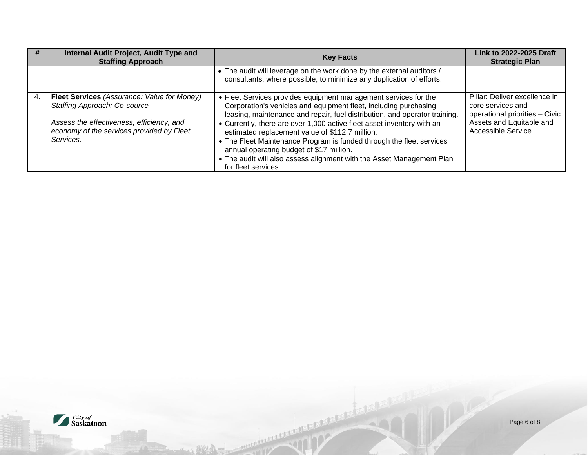|    | Internal Audit Project, Audit Type and<br><b>Staffing Approach</b>                                                                                                                        | <b>Key Facts</b>                                                                                                                                                                                                                                                                                                                                                                                                                                                                                                                                                    | Link to 2022-2025 Draft<br><b>Strategic Plan</b>                                                                                              |
|----|-------------------------------------------------------------------------------------------------------------------------------------------------------------------------------------------|---------------------------------------------------------------------------------------------------------------------------------------------------------------------------------------------------------------------------------------------------------------------------------------------------------------------------------------------------------------------------------------------------------------------------------------------------------------------------------------------------------------------------------------------------------------------|-----------------------------------------------------------------------------------------------------------------------------------------------|
|    |                                                                                                                                                                                           | • The audit will leverage on the work done by the external auditors /<br>consultants, where possible, to minimize any duplication of efforts.                                                                                                                                                                                                                                                                                                                                                                                                                       |                                                                                                                                               |
| 4. | <b>Fleet Services</b> (Assurance: Value for Money)<br>Staffing Approach: Co-source<br>Assess the effectiveness, efficiency, and<br>economy of the services provided by Fleet<br>Services. | • Fleet Services provides equipment management services for the<br>Corporation's vehicles and equipment fleet, including purchasing,<br>leasing, maintenance and repair, fuel distribution, and operator training.<br>• Currently, there are over 1,000 active fleet asset inventory with an<br>estimated replacement value of \$112.7 million.<br>• The Fleet Maintenance Program is funded through the fleet services<br>annual operating budget of \$17 million.<br>. The audit will also assess alignment with the Asset Management Plan<br>for fleet services. | Pillar: Deliver excellence in<br>core services and<br>operational priorities - Civic<br>Assets and Equitable and<br><b>Accessible Service</b> |

Andrews Harry Company of the Company of the Company of the Company of the Company of the Company of the Company of the Company of the Company of the Company of the Company of the Company of the Company of the Company of th

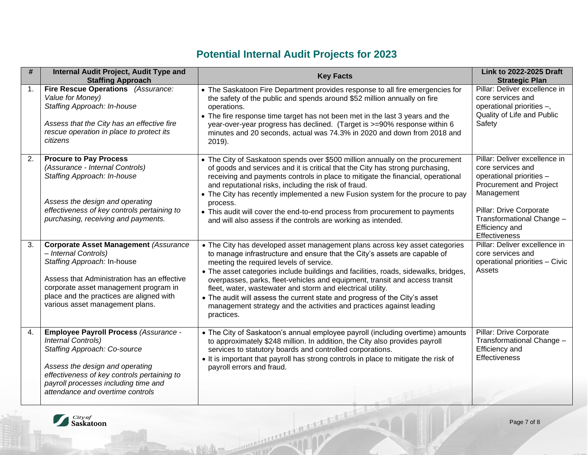# **Potential Internal Audit Projects for 2023**

| #  | Internal Audit Project, Audit Type and<br><b>Staffing Approach</b>                                                                                                                                                                                                           | <b>Key Facts</b>                                                                                                                                                                                                                                                                                                                                                                                                                                                                                                                                                                                            | <b>Link to 2022-2025 Draft</b><br><b>Strategic Plan</b>                                                                                                                                                                   |  |
|----|------------------------------------------------------------------------------------------------------------------------------------------------------------------------------------------------------------------------------------------------------------------------------|-------------------------------------------------------------------------------------------------------------------------------------------------------------------------------------------------------------------------------------------------------------------------------------------------------------------------------------------------------------------------------------------------------------------------------------------------------------------------------------------------------------------------------------------------------------------------------------------------------------|---------------------------------------------------------------------------------------------------------------------------------------------------------------------------------------------------------------------------|--|
| 1. | Fire Rescue Operations (Assurance:<br>Value for Money)<br>Staffing Approach: In-house<br>Assess that the City has an effective fire<br>rescue operation in place to protect its<br>citizens                                                                                  | • The Saskatoon Fire Department provides response to all fire emergencies for<br>the safety of the public and spends around \$52 million annually on fire<br>operations.<br>• The fire response time target has not been met in the last 3 years and the<br>year-over-year progress has declined. (Target is >=90% response within 6<br>minutes and 20 seconds, actual was 74.3% in 2020 and down from 2018 and<br>$2019$ ).                                                                                                                                                                                | Pillar: Deliver excellence in<br>core services and<br>operational priorities -,<br>Quality of Life and Public<br>Safety                                                                                                   |  |
| 2. | <b>Procure to Pay Process</b><br>(Assurance - Internal Controls)<br>Staffing Approach: In-house<br>Assess the design and operating<br>effectiveness of key controls pertaining to<br>purchasing, receiving and payments.                                                     | • The City of Saskatoon spends over \$500 million annually on the procurement<br>of goods and services and it is critical that the City has strong purchasing,<br>receiving and payments controls in place to mitigate the financial, operational<br>and reputational risks, including the risk of fraud.<br>• The City has recently implemented a new Fusion system for the procure to pay<br>process.<br>• This audit will cover the end-to-end process from procurement to payments<br>and will also assess if the controls are working as intended.                                                     | Pillar: Deliver excellence in<br>core services and<br>operational priorities -<br><b>Procurement and Project</b><br>Management<br>Pillar: Drive Corporate<br>Transformational Change -<br>Efficiency and<br>Effectiveness |  |
| 3. | <b>Corporate Asset Management (Assurance</b><br>- Internal Controls)<br>Staffing Approach: In-house<br>Assess that Administration has an effective<br>corporate asset management program in<br>place and the practices are aligned with<br>various asset management plans.   | • The City has developed asset management plans across key asset categories<br>to manage infrastructure and ensure that the City's assets are capable of<br>meeting the required levels of service.<br>• The asset categories include buildings and facilities, roads, sidewalks, bridges,<br>overpasses, parks, fleet-vehicles and equipment, transit and access transit<br>fleet, water, wastewater and storm and electrical utility.<br>• The audit will assess the current state and progress of the City's asset<br>management strategy and the activities and practices against leading<br>practices. | Pillar: Deliver excellence in<br>core services and<br>operational priorities - Civic<br>Assets                                                                                                                            |  |
| 4. | <b>Employee Payroll Process (Assurance -</b><br>Internal Controls)<br>Staffing Approach: Co-source<br>Assess the design and operating<br>effectiveness of key controls pertaining to<br>payroll processes including time and<br>attendance and overtime controls             | • The City of Saskatoon's annual employee payroll (including overtime) amounts<br>to approximately \$248 million. In addition, the City also provides payroll<br>services to statutory boards and controlled corporations.<br>• It is important that payroll has strong controls in place to mitigate the risk of<br>payroll errors and fraud.                                                                                                                                                                                                                                                              | Pillar: Drive Corporate<br>Transformational Change -<br>Efficiency and<br>Effectiveness                                                                                                                                   |  |
|    | With months and the state of the contract of the contract of the contract of the contract of the contract of the contract of the contract of the contract of the contract of the contract of the contract of the contract of t<br>City of<br><b>Saskatoon</b><br>Page 7 of 8 |                                                                                                                                                                                                                                                                                                                                                                                                                                                                                                                                                                                                             |                                                                                                                                                                                                                           |  |